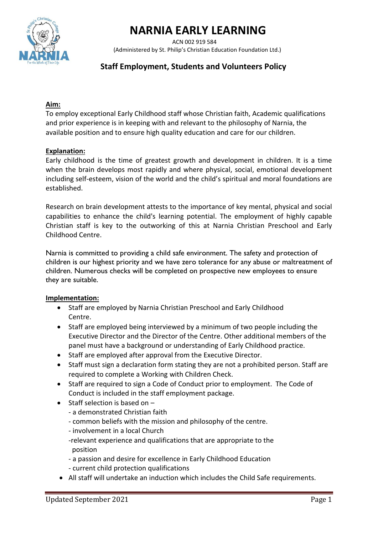



 ACN 002 919 584 (Administered by St. Philip's Christian Education Foundation Ltd.)

# **Staff Employment, Students and Volunteers Policy**

## **Aim:**

To employ exceptional Early Childhood staff whose Christian faith, Academic qualifications and prior experience is in keeping with and relevant to the philosophy of Narnia, the available position and to ensure high quality education and care for our children.

### **Explanation:**

Early childhood is the time of greatest growth and development in children. It is a time when the brain develops most rapidly and where physical, social, emotional development including self-esteem, vision of the world and the child's spiritual and moral foundations are established.

Research on brain development attests to the importance of key mental, physical and social capabilities to enhance the child's learning potential. The employment of highly capable Christian staff is key to the outworking of this at Narnia Christian Preschool and Early Childhood Centre.

Narnia is committed to providing a child safe environment. The safety and protection of children is our highest priority and we have zero tolerance for any abuse or maltreatment of children. Numerous checks will be completed on prospective new employees to ensure they are suitable.

#### **Implementation:**

- Staff are employed by Narnia Christian Preschool and Early Childhood Centre.
- Staff are employed being interviewed by a minimum of two people including the Executive Director and the Director of the Centre. Other additional members of the panel must have a background or understanding of Early Childhood practice.
- Staff are employed after approval from the Executive Director.
- Staff must sign a declaration form stating they are not a prohibited person. Staff are required to complete a Working with Children Check.
- Staff are required to sign a Code of Conduct prior to employment. The Code of Conduct is included in the staff employment package.
- Staff selection is based on
	- a demonstrated Christian faith
	- common beliefs with the mission and philosophy of the centre.
	- involvement in a local Church
	- -relevant experience and qualifications that are appropriate to the position
	- a passion and desire for excellence in Early Childhood Education - current child protection qualifications
- All staff will undertake an induction which includes the Child Safe requirements.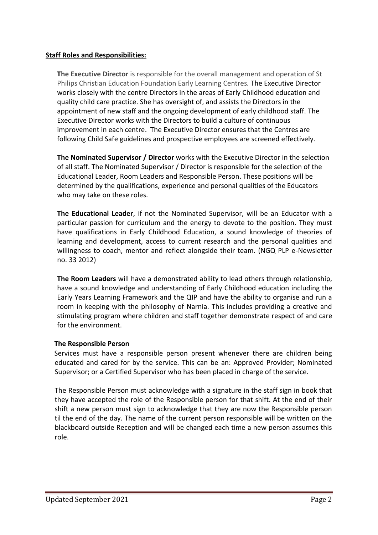# **Staff Roles and Responsibilities:**

**The Executive Director** is responsible for the overall management and operation of St Philips Christian Education Foundation Early Learning Centres*.* The Executive Director works closely with the centre Directors in the areas of Early Childhood education and quality child care practice. She has oversight of, and assists the Directors in the appointment of new staff and the ongoing development of early childhood staff. The Executive Director works with the Directors to build a culture of continuous improvement in each centre. The Executive Director ensures that the Centres are following Child Safe guidelines and prospective employees are screened effectively.

**The Nominated Supervisor / Director** works with the Executive Director in the selection of all staff. The Nominated Supervisor / Director is responsible for the selection of the Educational Leader, Room Leaders and Responsible Person. These positions will be determined by the qualifications, experience and personal qualities of the Educators who may take on these roles.

**The Educational Leader**, if not the Nominated Supervisor, will be an Educator with a particular passion for curriculum and the energy to devote to the position. They must have qualifications in Early Childhood Education, a sound knowledge of theories of learning and development, access to current research and the personal qualities and willingness to coach, mentor and reflect alongside their team. (NGQ PLP e-Newsletter no. 33 2012)

**The Room Leaders** will have a demonstrated ability to lead others through relationship, have a sound knowledge and understanding of Early Childhood education including the Early Years Learning Framework and the QIP and have the ability to organise and run a room in keeping with the philosophy of Narnia. This includes providing a creative and stimulating program where children and staff together demonstrate respect of and care for the environment.

# **The Responsible Person**

 Services must have a responsible person present whenever there are children being educated and cared for by the service. This can be an: Approved Provider; Nominated Supervisor; or a Certified Supervisor who has been placed in charge of the service.

The Responsible Person must acknowledge with a signature in the staff sign in book that they have accepted the role of the Responsible person for that shift. At the end of their shift a new person must sign to acknowledge that they are now the Responsible person til the end of the day. The name of the current person responsible will be written on the blackboard outside Reception and will be changed each time a new person assumes this role.